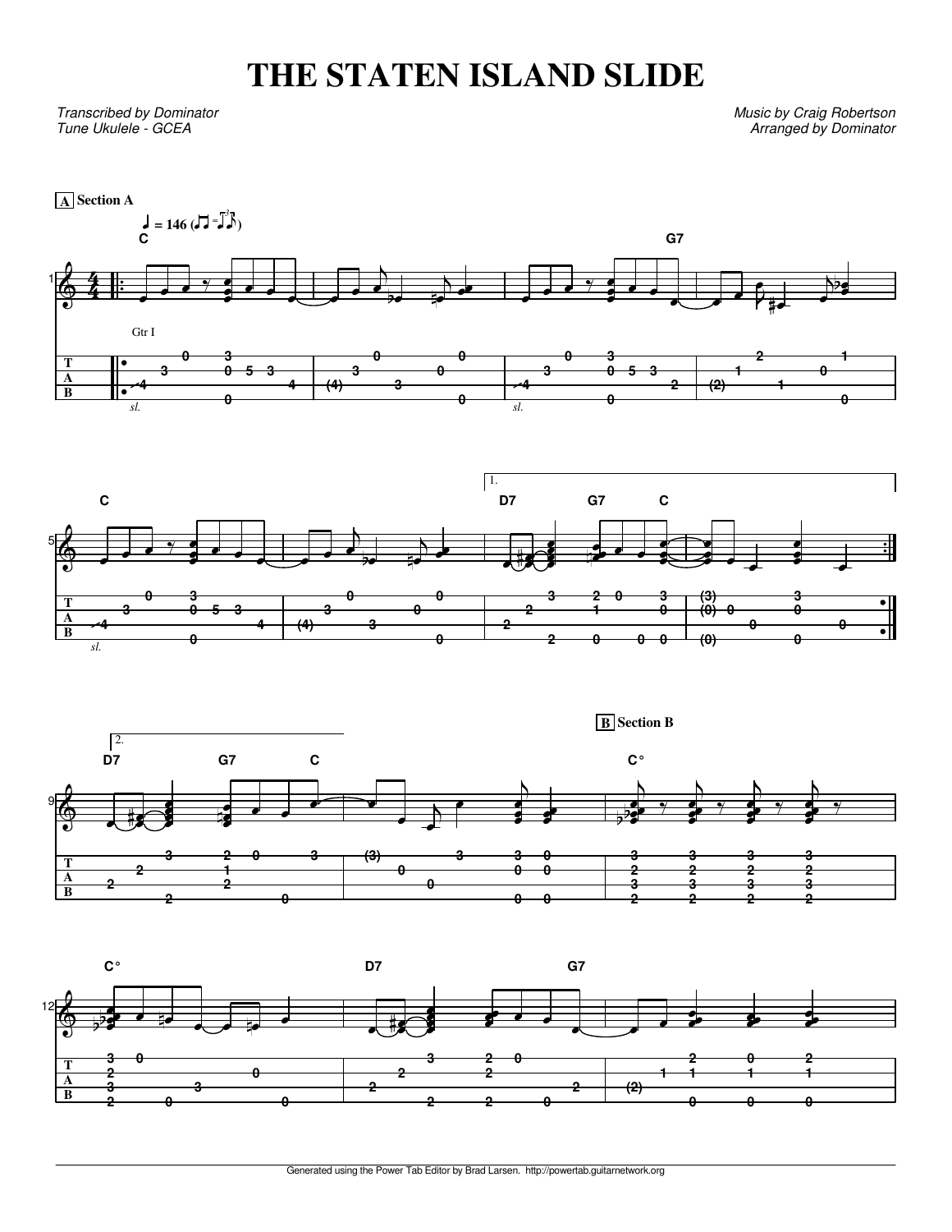## **THE STATEN ISLAND SLIDE**

Transcribed by Dominator Tune Ukulele - GCEA

Music by Craig Robertson Arranged by Dominator